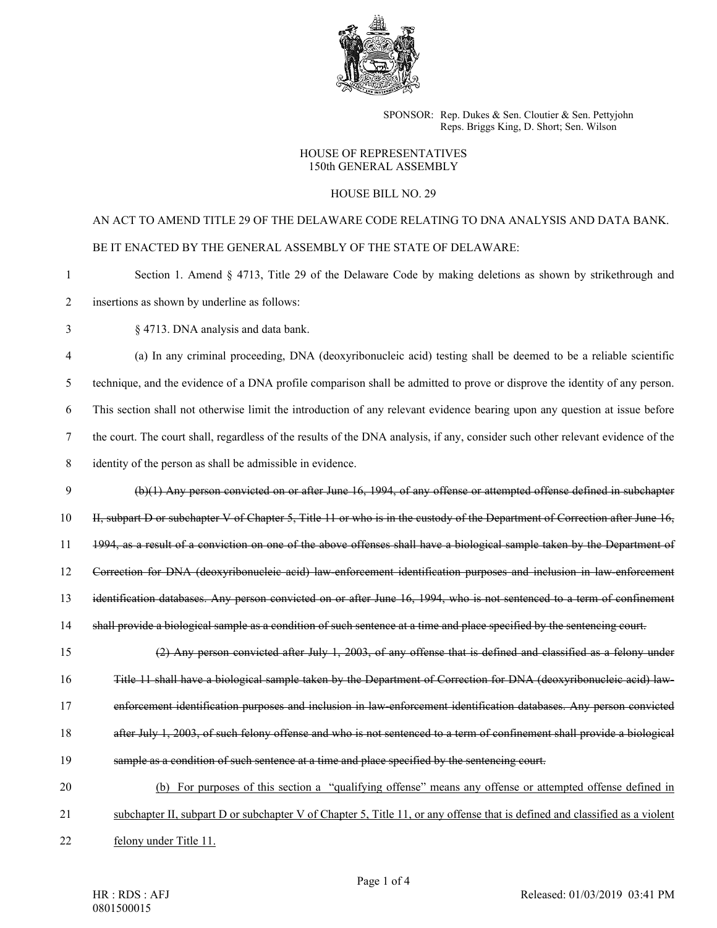

SPONSOR: Rep. Dukes & Sen. Cloutier & Sen. Pettyjohn Reps. Briggs King, D. Short; Sen. Wilson

## HOUSE OF REPRESENTATIVES 150th GENERAL ASSEMBLY

## HOUSE BILL NO. 29

## AN ACT TO AMEND TITLE 29 OF THE DELAWARE CODE RELATING TO DNA ANALYSIS AND DATA BANK. BE IT ENACTED BY THE GENERAL ASSEMBLY OF THE STATE OF DELAWARE:

- 1 Section 1. Amend § 4713, Title 29 of the Delaware Code by making deletions as shown by strikethrough and
- 2 insertions as shown by underline as follows:
- 3 § 4713. DNA analysis and data bank.

4 (a) In any criminal proceeding, DNA (deoxyribonucleic acid) testing shall be deemed to be a reliable scientific 5 technique, and the evidence of a DNA profile comparison shall be admitted to prove or disprove the identity of any person. 6 This section shall not otherwise limit the introduction of any relevant evidence bearing upon any question at issue before 7 the court. The court shall, regardless of the results of the DNA analysis, if any, consider such other relevant evidence of the

- 8 identity of the person as shall be admissible in evidence.
- 9 (b)(1) Any person convicted on or after June 16, 1994, of any offense or attempted offense defined in subchapter

10 II, subpart D or subchapter V of Chapter 5, Title 11 or who is in the custody of the Department of Correction after June 16,

11 1994, as a result of a conviction on one of the above offenses shall have a biological sample taken by the Department of

12 Correction for DNA (deoxyribonucleic acid) law-enforcement identification purposes and inclusion in law-enforcement

- 13 identification databases. Any person convicted on or after June 16, 1994, who is not sentenced to a term of confinement
- 14 shall provide a biological sample as a condition of such sentence at a time and place specified by the sentencing court.

15 (2) Any person convicted after July 1, 2003, of any offense that is defined and classified as a felony under

16 Title 11 shall have a biological sample taken by the Department of Correction for DNA (deoxyribonucleic acid) law-

- 17 enforcement identification purposes and inclusion in law-enforcement identification databases. Any person convicted
- 18 after July 1, 2003, of such felony offense and who is not sentenced to a term of confinement shall provide a biological
- 19 sample as a condition of such sentence at a time and place specified by the sentencing court.
- 20 (b) For purposes of this section a "qualifying offense" means any offense or attempted offense defined in
- 21 subchapter II, subpart D or subchapter V of Chapter 5, Title 11, or any offense that is defined and classified as a violent
- 22 felony under Title 11.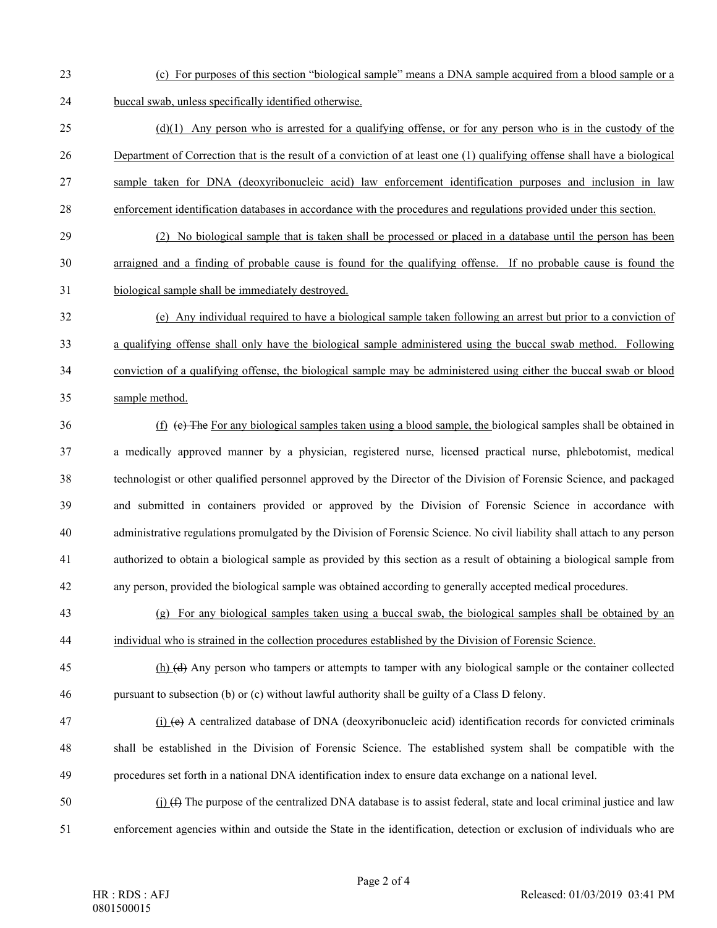- 23 (c) For purposes of this section "biological sample" means a DNA sample acquired from a blood sample or a 24 buccal swab, unless specifically identified otherwise.
- 25 (d)(1) Any person who is arrested for a qualifying offense, or for any person who is in the custody of the 26 Department of Correction that is the result of a conviction of at least one (1) qualifying offense shall have a biological 27 sample taken for DNA (deoxyribonucleic acid) law enforcement identification purposes and inclusion in law 28 enforcement identification databases in accordance with the procedures and regulations provided under this section.
- 29 (2) No biological sample that is taken shall be processed or placed in a database until the person has been 30 arraigned and a finding of probable cause is found for the qualifying offense. If no probable cause is found the 31 biological sample shall be immediately destroyed.
- 32 (e) Any individual required to have a biological sample taken following an arrest but prior to a conviction of 33 a qualifying offense shall only have the biological sample administered using the buccal swab method. Following 34 conviction of a qualifying offense, the biological sample may be administered using either the buccal swab or blood 35 sample method.
- 36 (f) (c) The For any biological samples taken using a blood sample, the biological samples shall be obtained in 37 a medically approved manner by a physician, registered nurse, licensed practical nurse, phlebotomist, medical 38 technologist or other qualified personnel approved by the Director of the Division of Forensic Science, and packaged 39 and submitted in containers provided or approved by the Division of Forensic Science in accordance with 40 administrative regulations promulgated by the Division of Forensic Science. No civil liability shall attach to any person 41 authorized to obtain a biological sample as provided by this section as a result of obtaining a biological sample from 42 any person, provided the biological sample was obtained according to generally accepted medical procedures.
- 43 (g) For any biological samples taken using a buccal swab, the biological samples shall be obtained by an 44 individual who is strained in the collection procedures established by the Division of Forensic Science.
- 45 (h) (d) Any person who tampers or attempts to tamper with any biological sample or the container collected 46 pursuant to subsection (b) or (c) without lawful authority shall be guilty of a Class D felony.
- $\mathbf{47}$  (i) (e) A centralized database of DNA (deoxyribonucleic acid) identification records for convicted criminals 48 shall be established in the Division of Forensic Science. The established system shall be compatible with the 49 procedures set forth in a national DNA identification index to ensure data exchange on a national level.
- 50 (i) ( $\oplus$  The purpose of the centralized DNA database is to assist federal, state and local criminal justice and law 51 enforcement agencies within and outside the State in the identification, detection or exclusion of individuals who are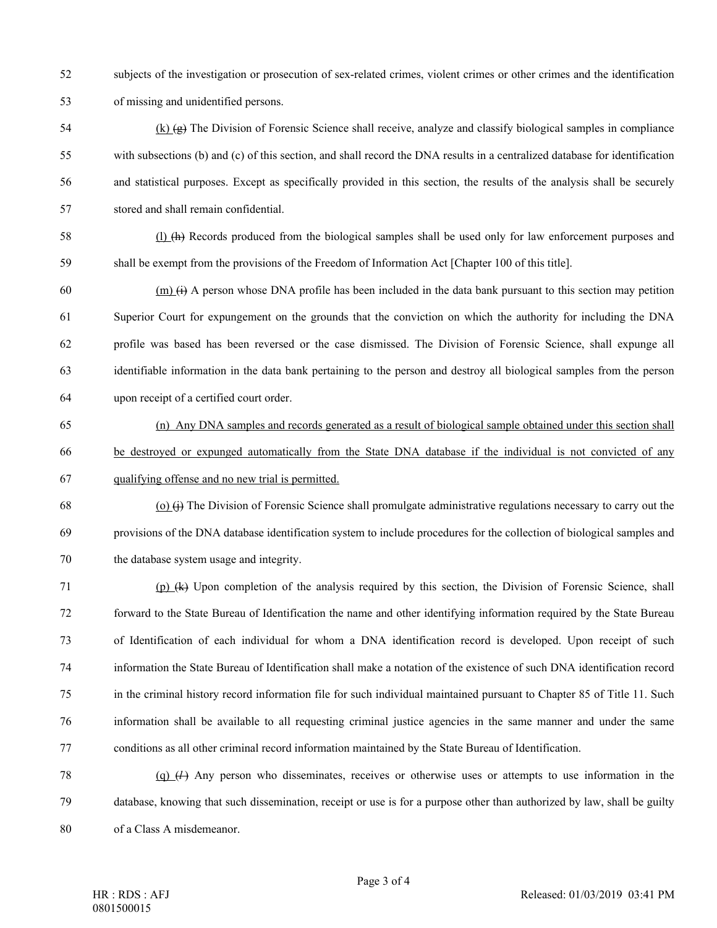- 52 subjects of the investigation or prosecution of sex-related crimes, violent crimes or other crimes and the identification 53 of missing and unidentified persons.
- $\frac{1}{2}$  (k)  $\left(\frac{1}{2}\right)$  The Division of Forensic Science shall receive, analyze and classify biological samples in compliance 55 with subsections (b) and (c) of this section, and shall record the DNA results in a centralized database for identification 56 and statistical purposes. Except as specifically provided in this section, the results of the analysis shall be securely 57 stored and shall remain confidential.
- 58 (l) (h) Records produced from the biological samples shall be used only for law enforcement purposes and 59 shall be exempt from the provisions of the Freedom of Information Act [Chapter 100 of this title].
- $(60 \text{ (m)} \text{ (i)} \text{ A person whose DNA profile has been included in the data bank pursuit to this section may pertinent to this section.}$ 61 Superior Court for expungement on the grounds that the conviction on which the authority for including the DNA 62 profile was based has been reversed or the case dismissed. The Division of Forensic Science, shall expunge all 63 identifiable information in the data bank pertaining to the person and destroy all biological samples from the person 64 upon receipt of a certified court order.
- 65 (n) Any DNA samples and records generated as a result of biological sample obtained under this section shall 66 be destroyed or expunged automatically from the State DNA database if the individual is not convicted of any 67 qualifying offense and no new trial is permitted.
- $(68 \t\t\t (o)$   $(i)$  The Division of Forensic Science shall promulgate administrative regulations necessary to carry out the 69 provisions of the DNA database identification system to include procedures for the collection of biological samples and 70 the database system usage and integrity.
- 71 (p) (k) Upon completion of the analysis required by this section, the Division of Forensic Science, shall 72 forward to the State Bureau of Identification the name and other identifying information required by the State Bureau 73 of Identification of each individual for whom a DNA identification record is developed. Upon receipt of such 74 information the State Bureau of Identification shall make a notation of the existence of such DNA identification record 75 in the criminal history record information file for such individual maintained pursuant to Chapter 85 of Title 11. Such 76 information shall be available to all requesting criminal justice agencies in the same manner and under the same 77 conditions as all other criminal record information maintained by the State Bureau of Identification.
- 78 (q) (*l*) Any person who disseminates, receives or otherwise uses or attempts to use information in the 79 database, knowing that such dissemination, receipt or use is for a purpose other than authorized by law, shall be guilty 80 of a Class A misdemeanor.